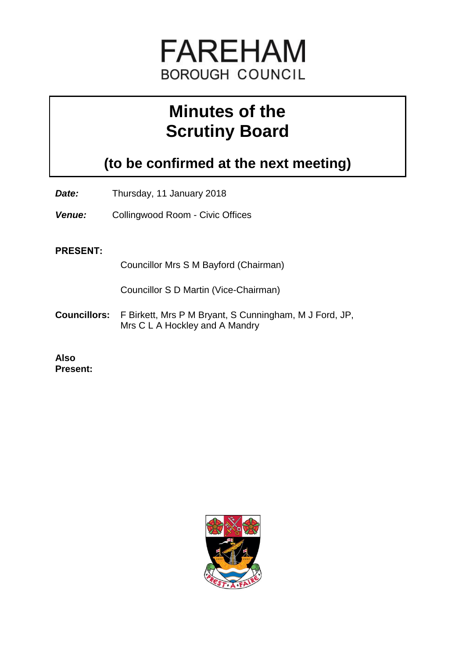

# **Minutes of the Scrutiny Board**

# **(to be confirmed at the next meeting)**

- **Date:** Thursday, 11 January 2018
- *Venue:* Collingwood Room Civic Offices

# **PRESENT:**

Councillor Mrs S M Bayford (Chairman)

Councillor S D Martin (Vice-Chairman)

**Councillors:** F Birkett, Mrs P M Bryant, S Cunningham, M J Ford, JP, Mrs C L A Hockley and A Mandry

**Also Present:**

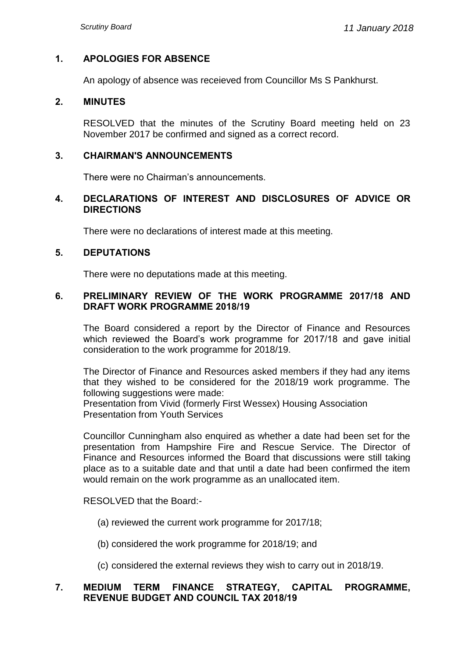# **1. APOLOGIES FOR ABSENCE**

An apology of absence was receieved from Councillor Ms S Pankhurst.

#### **2. MINUTES**

RESOLVED that the minutes of the Scrutiny Board meeting held on 23 November 2017 be confirmed and signed as a correct record.

#### **3. CHAIRMAN'S ANNOUNCEMENTS**

There were no Chairman's announcements.

# **4. DECLARATIONS OF INTEREST AND DISCLOSURES OF ADVICE OR DIRECTIONS**

There were no declarations of interest made at this meeting.

#### **5. DEPUTATIONS**

There were no deputations made at this meeting.

#### **6. PRELIMINARY REVIEW OF THE WORK PROGRAMME 2017/18 AND DRAFT WORK PROGRAMME 2018/19**

The Board considered a report by the Director of Finance and Resources which reviewed the Board's work programme for 2017/18 and gave initial consideration to the work programme for 2018/19.

The Director of Finance and Resources asked members if they had any items that they wished to be considered for the 2018/19 work programme. The following suggestions were made:

Presentation from Vivid (formerly First Wessex) Housing Association Presentation from Youth Services

Councillor Cunningham also enquired as whether a date had been set for the presentation from Hampshire Fire and Rescue Service. The Director of Finance and Resources informed the Board that discussions were still taking place as to a suitable date and that until a date had been confirmed the item would remain on the work programme as an unallocated item.

RESOLVED that the Board:-

- (a) reviewed the current work programme for 2017/18;
- (b) considered the work programme for 2018/19; and

(c) considered the external reviews they wish to carry out in 2018/19.

# **7. MEDIUM TERM FINANCE STRATEGY, CAPITAL PROGRAMME, REVENUE BUDGET AND COUNCIL TAX 2018/19**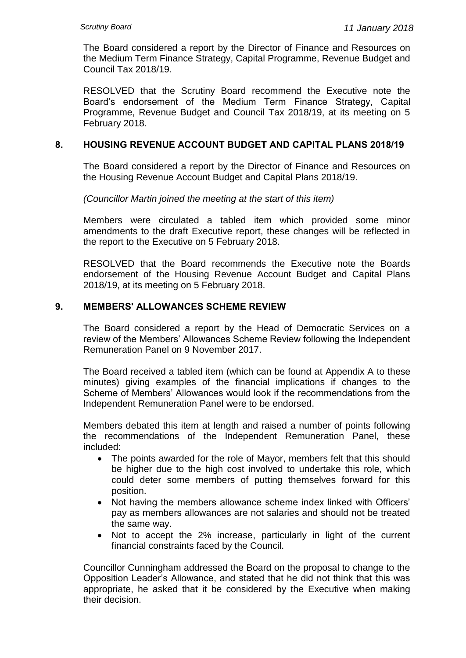The Board considered a report by the Director of Finance and Resources on the Medium Term Finance Strategy, Capital Programme, Revenue Budget and Council Tax 2018/19.

RESOLVED that the Scrutiny Board recommend the Executive note the Board's endorsement of the Medium Term Finance Strategy, Capital Programme, Revenue Budget and Council Tax 2018/19, at its meeting on 5 February 2018.

# **8. HOUSING REVENUE ACCOUNT BUDGET AND CAPITAL PLANS 2018/19**

The Board considered a report by the Director of Finance and Resources on the Housing Revenue Account Budget and Capital Plans 2018/19.

*(Councillor Martin joined the meeting at the start of this item)*

Members were circulated a tabled item which provided some minor amendments to the draft Executive report, these changes will be reflected in the report to the Executive on 5 February 2018.

RESOLVED that the Board recommends the Executive note the Boards endorsement of the Housing Revenue Account Budget and Capital Plans 2018/19, at its meeting on 5 February 2018.

# **9. MEMBERS' ALLOWANCES SCHEME REVIEW**

The Board considered a report by the Head of Democratic Services on a review of the Members' Allowances Scheme Review following the Independent Remuneration Panel on 9 November 2017.

The Board received a tabled item (which can be found at Appendix A to these minutes) giving examples of the financial implications if changes to the Scheme of Members' Allowances would look if the recommendations from the Independent Remuneration Panel were to be endorsed.

Members debated this item at length and raised a number of points following the recommendations of the Independent Remuneration Panel, these included:

- The points awarded for the role of Mayor, members felt that this should be higher due to the high cost involved to undertake this role, which could deter some members of putting themselves forward for this position.
- Not having the members allowance scheme index linked with Officers' pay as members allowances are not salaries and should not be treated the same way.
- Not to accept the 2% increase, particularly in light of the current financial constraints faced by the Council.

Councillor Cunningham addressed the Board on the proposal to change to the Opposition Leader's Allowance, and stated that he did not think that this was appropriate, he asked that it be considered by the Executive when making their decision.